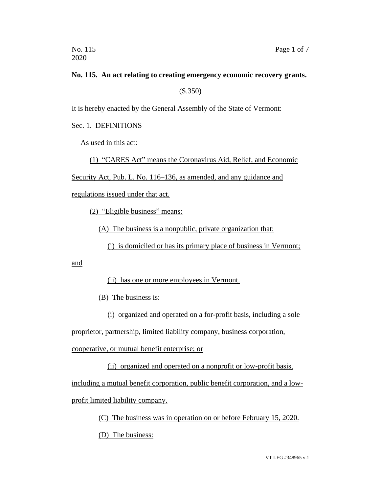## **No. 115. An act relating to creating emergency economic recovery grants.**

(S.350)

It is hereby enacted by the General Assembly of the State of Vermont:

Sec. 1. DEFINITIONS

As used in this act:

(1) "CARES Act" means the Coronavirus Aid, Relief, and Economic

Security Act, Pub. L. No. 116–136, as amended, and any guidance and

regulations issued under that act.

(2) "Eligible business" means:

(A) The business is a nonpublic, private organization that:

(i) is domiciled or has its primary place of business in Vermont;

and

(ii) has one or more employees in Vermont.

(B) The business is:

(i) organized and operated on a for-profit basis, including a sole

proprietor, partnership, limited liability company, business corporation,

cooperative, or mutual benefit enterprise; or

(ii) organized and operated on a nonprofit or low-profit basis,

including a mutual benefit corporation, public benefit corporation, and a low-

profit limited liability company.

(C) The business was in operation on or before February 15, 2020.

(D) The business: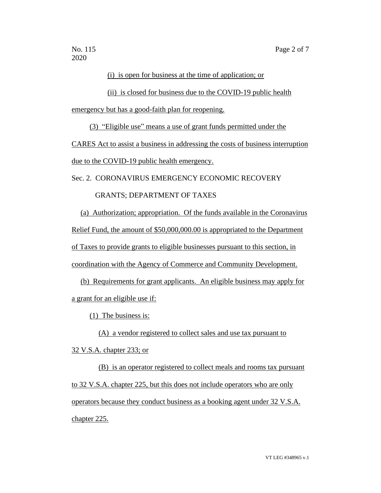2020

#### (i) is open for business at the time of application; or

(ii) is closed for business due to the COVID-19 public health

emergency but has a good-faith plan for reopening.

(3) "Eligible use" means a use of grant funds permitted under the

CARES Act to assist a business in addressing the costs of business interruption

due to the COVID-19 public health emergency.

Sec. 2. CORONAVIRUS EMERGENCY ECONOMIC RECOVERY

### GRANTS; DEPARTMENT OF TAXES

(a) Authorization; appropriation. Of the funds available in the Coronavirus Relief Fund, the amount of \$50,000,000.00 is appropriated to the Department of Taxes to provide grants to eligible businesses pursuant to this section, in coordination with the Agency of Commerce and Community Development.

(b) Requirements for grant applicants. An eligible business may apply for a grant for an eligible use if:

(1) The business is:

(A) a vendor registered to collect sales and use tax pursuant to

32 V.S.A. chapter 233; or

(B) is an operator registered to collect meals and rooms tax pursuant to 32 V.S.A. chapter 225, but this does not include operators who are only operators because they conduct business as a booking agent under 32 V.S.A. chapter 225.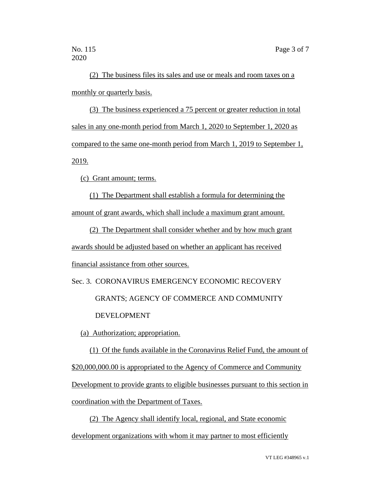(2) The business files its sales and use or meals and room taxes on a monthly or quarterly basis.

(3) The business experienced a 75 percent or greater reduction in total sales in any one-month period from March 1, 2020 to September 1, 2020 as compared to the same one-month period from March 1, 2019 to September 1, 2019.

(c) Grant amount; terms.

(1) The Department shall establish a formula for determining the amount of grant awards, which shall include a maximum grant amount.

(2) The Department shall consider whether and by how much grant awards should be adjusted based on whether an applicant has received financial assistance from other sources.

Sec. 3. CORONAVIRUS EMERGENCY ECONOMIC RECOVERY GRANTS; AGENCY OF COMMERCE AND COMMUNITY DEVELOPMENT

(a) Authorization; appropriation.

(1) Of the funds available in the Coronavirus Relief Fund, the amount of \$20,000,000.00 is appropriated to the Agency of Commerce and Community Development to provide grants to eligible businesses pursuant to this section in coordination with the Department of Taxes.

(2) The Agency shall identify local, regional, and State economic development organizations with whom it may partner to most efficiently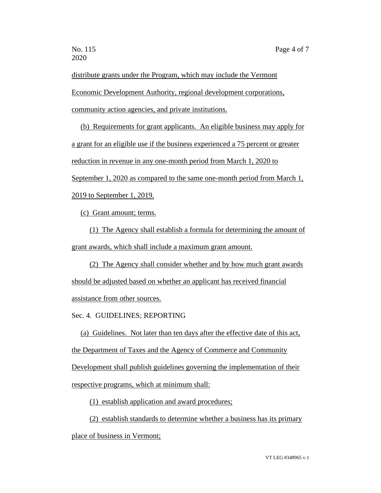distribute grants under the Program, which may include the Vermont Economic Development Authority, regional development corporations, community action agencies, and private institutions.

(b) Requirements for grant applicants. An eligible business may apply for a grant for an eligible use if the business experienced a 75 percent or greater reduction in revenue in any one-month period from March 1, 2020 to September 1, 2020 as compared to the same one-month period from March 1, 2019 to September 1, 2019.

(c) Grant amount; terms.

(1) The Agency shall establish a formula for determining the amount of grant awards, which shall include a maximum grant amount.

(2) The Agency shall consider whether and by how much grant awards should be adjusted based on whether an applicant has received financial assistance from other sources.

Sec. 4. GUIDELINES; REPORTING

(a) Guidelines. Not later than ten days after the effective date of this act, the Department of Taxes and the Agency of Commerce and Community Development shall publish guidelines governing the implementation of their respective programs, which at minimum shall:

(1) establish application and award procedures;

(2) establish standards to determine whether a business has its primary

place of business in Vermont;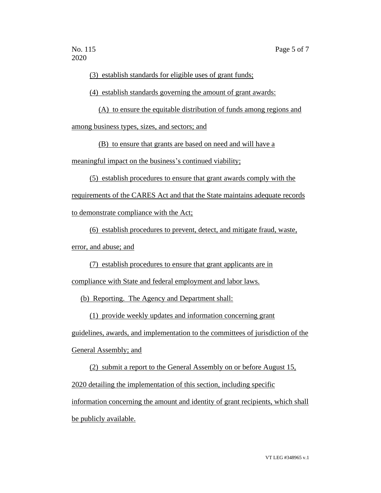(3) establish standards for eligible uses of grant funds;

(4) establish standards governing the amount of grant awards:

(A) to ensure the equitable distribution of funds among regions and among business types, sizes, and sectors; and

(B) to ensure that grants are based on need and will have a

meaningful impact on the business's continued viability;

(5) establish procedures to ensure that grant awards comply with the

requirements of the CARES Act and that the State maintains adequate records

to demonstrate compliance with the Act;

(6) establish procedures to prevent, detect, and mitigate fraud, waste,

error, and abuse; and

(7) establish procedures to ensure that grant applicants are in

compliance with State and federal employment and labor laws.

(b) Reporting. The Agency and Department shall:

(1) provide weekly updates and information concerning grant

guidelines, awards, and implementation to the committees of jurisdiction of the

General Assembly; and

(2) submit a report to the General Assembly on or before August 15,

2020 detailing the implementation of this section, including specific

information concerning the amount and identity of grant recipients, which shall be publicly available.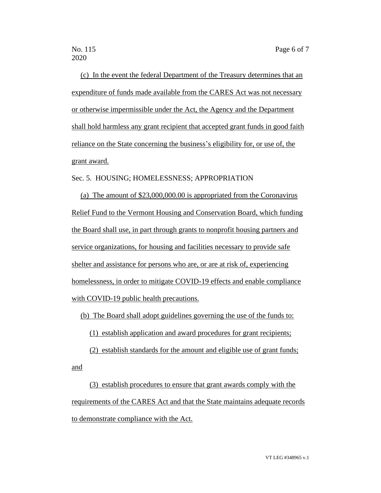and

(c) In the event the federal Department of the Treasury determines that an expenditure of funds made available from the CARES Act was not necessary or otherwise impermissible under the Act, the Agency and the Department shall hold harmless any grant recipient that accepted grant funds in good faith reliance on the State concerning the business's eligibility for, or use of, the grant award.

#### Sec. 5. HOUSING; HOMELESSNESS; APPROPRIATION

(a) The amount of \$23,000,000.00 is appropriated from the Coronavirus Relief Fund to the Vermont Housing and Conservation Board, which funding the Board shall use, in part through grants to nonprofit housing partners and service organizations, for housing and facilities necessary to provide safe shelter and assistance for persons who are, or are at risk of, experiencing homelessness, in order to mitigate COVID-19 effects and enable compliance with COVID-19 public health precautions.

### (b) The Board shall adopt guidelines governing the use of the funds to:

(1) establish application and award procedures for grant recipients;

(2) establish standards for the amount and eligible use of grant funds;

(3) establish procedures to ensure that grant awards comply with the requirements of the CARES Act and that the State maintains adequate records to demonstrate compliance with the Act.